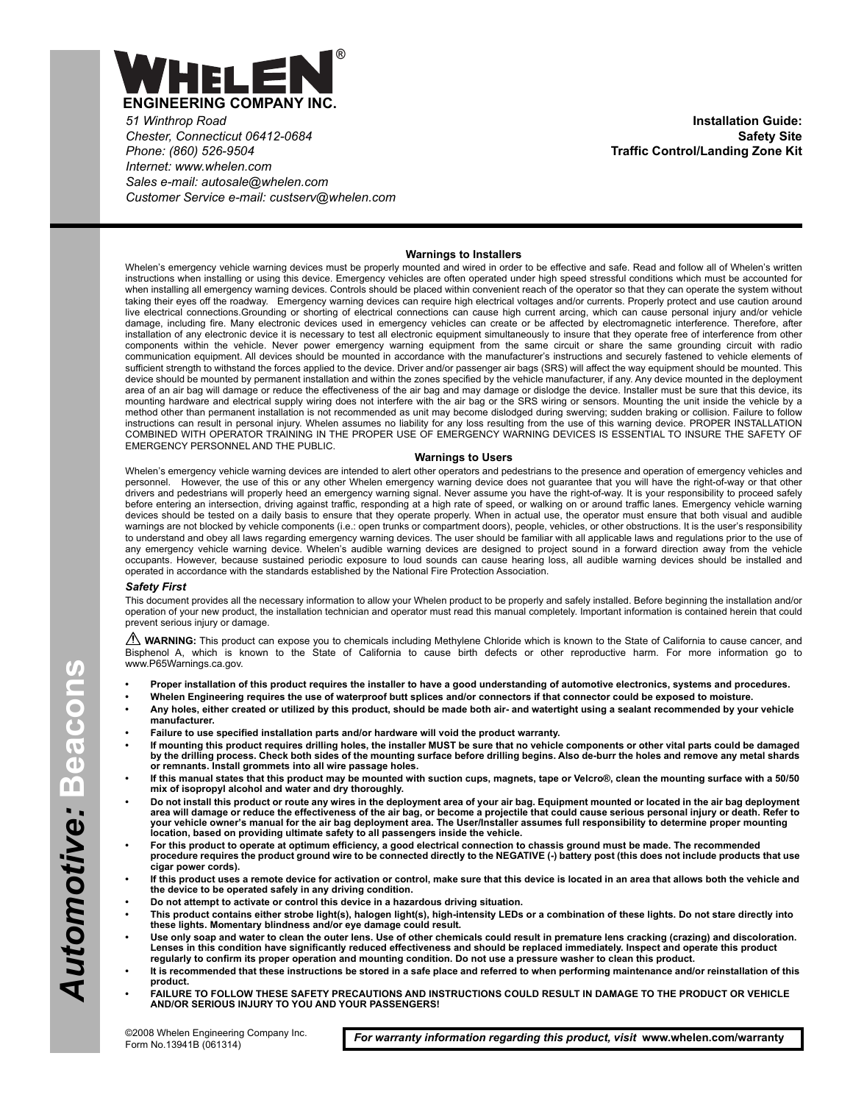

*51 Winthrop Road Chester, Connecticut 06412-0684 Phone: (860) 526-9504 Internet: www.whelen.com Sales e-mail: autosale@whelen.com Customer Service e-mail: custserv@whelen.com*

**Installation Guide: Safety Site Traffic Control/Landing Zone Kit**

### **Warnings to Installers**

Whelen's emergency vehicle warning devices must be properly mounted and wired in order to be effective and safe. Read and follow all of Whelen's written instructions when installing or using this device. Emergency vehicles are often operated under high speed stressful conditions which must be accounted for when installing all emergency warning devices. Controls should be placed within convenient reach of the operator so that they can operate the system without taking their eyes off the roadway. Emergency warning devices can require high electrical voltages and/or currents. Properly protect and use caution around live electrical connections.Grounding or shorting of electrical connections can cause high current arcing, which can cause personal injury and/or vehicle damage, including fire. Many electronic devices used in emergency vehicles can create or be affected by electromagnetic interference. Therefore, after installation of any electronic device it is necessary to test all electronic equipment simultaneously to insure that they operate free of interference from other components within the vehicle. Never power emergency warning equipment from the same circuit or share the same grounding circuit with radio communication equipment. All devices should be mounted in accordance with the manufacturer's instructions and securely fastened to vehicle elements of sufficient strength to withstand the forces applied to the device. Driver and/or passenger air bags (SRS) will affect the way equipment should be mounted. This device should be mounted by permanent installation and within the zones specified by the vehicle manufacturer, if any. Any device mounted in the deployment area of an air bag will damage or reduce the effectiveness of the air bag and may damage or dislodge the device. Installer must be sure that this device, its mounting hardware and electrical supply wiring does not interfere with the air bag or the SRS wiring or sensors. Mounting the unit inside the vehicle by a method other than permanent installation is not recommended as unit may become dislodged during swerving; sudden braking or collision. Failure to follow instructions can result in personal injury. Whelen assumes no liability for any loss resulting from the use of this warning device. PROPER INSTALLATION COMBINED WITH OPERATOR TRAINING IN THE PROPER USE OF EMERGENCY WARNING DEVICES IS ESSENTIAL TO INSURE THE SAFETY OF EMERGENCY PERSONNEL AND THE PUBLIC.

### **Warnings to Users**

Whelen's emergency vehicle warning devices are intended to alert other operators and pedestrians to the presence and operation of emergency vehicles and personnel. However, the use of this or any other Whelen emergency warning device does not guarantee that you will have the right-of-way or that other drivers and pedestrians will properly heed an emergency warning signal. Never assume you have the right-of-way. It is your responsibility to proceed safely before entering an intersection, driving against traffic, responding at a high rate of speed, or walking on or around traffic lanes. Emergency vehicle warning devices should be tested on a daily basis to ensure that they operate properly. When in actual use, the operator must ensure that both visual and audible warnings are not blocked by vehicle components (i.e.: open trunks or compartment doors), people, vehicles, or other obstructions. It is the user's responsibility to understand and obey all laws regarding emergency warning devices. The user should be familiar with all applicable laws and regulations prior to the use of<br>any emergency vehicle warning device. Whelen's audible warning d occupants. However, because sustained periodic exposure to loud sounds can cause hearing loss, all audible warning devices should be installed and operated in accordance with the standards established by the National Fire Protection Association.

#### *Safety First*

This document provides all the necessary information to allow your Whelen product to be properly and safely installed. Before beginning the installation and/or operation of your new product, the installation technician and operator must read this manual completely. Important information is contained herein that could prevent serious injury or damage.

WARNING: This product can expose you to chemicals including Methylene Chloride which is known to the State of California to cause cancer, and Bisphenol A, which is known to the State of California to cause birth defects or other reproductive harm. For more information go to www.P65Warnings.ca.gov.

- **Proper installation of this product requires the installer to have a good understanding of automotive electronics, systems and procedures.**
- **Whelen Engineering requires the use of waterproof butt splices and/or connectors if that connector could be exposed to moisture.**
- **Any holes, either created or utilized by this product, should be made both air- and watertight using a sealant recommended by your vehicle manufacturer.**
- **Failure to use specified installation parts and/or hardware will void the product warranty.**
- **If mounting this product requires drilling holes, the installer MUST be sure that no vehicle components or other vital parts could be damaged by the drilling process. Check both sides of the mounting surface before drilling begins. Also de-burr the holes and remove any metal shards or remnants. Install grommets into all wire passage holes.**
- **If this manual states that this product may be mounted with suction cups, magnets, tape or Velcro®, clean the mounting surface with a 50/50 mix of isopropyl alcohol and water and dry thoroughly.**
- **Do not install this product or route any wires in the deployment area of your air bag. Equipment mounted or located in the air bag deployment area will damage or reduce the effectiveness of the air bag, or become a projectile that could cause serious personal injury or death. Refer to your vehicle owner's manual for the air bag deployment area. The User/Installer assumes full responsibility to determine proper mounting location, based on providing ultimate safety to all passengers inside the vehicle.**
- **For this product to operate at optimum efficiency, a good electrical connection to chassis ground must be made. The recommended procedure requires the product ground wire to be connected directly to the NEGATIVE (-) battery post (this does not include products that use cigar power cords).**
- **If this product uses a remote device for activation or control, make sure that this device is located in an area that allows both the vehicle and the device to be operated safely in any driving condition.**
- **Do not attempt to activate or control this device in a hazardous driving situation.**
- **This product contains either strobe light(s), halogen light(s), high-intensity LEDs or a combination of these lights. Do not stare directly into these lights. Momentary blindness and/or eye damage could result.**
- **Use only soap and water to clean the outer lens. Use of other chemicals could result in premature lens cracking (crazing) and discoloration. Lenses in this condition have significantly reduced effectiveness and should be replaced immediately. Inspect and operate this product regularly to confirm its proper operation and mounting condition. Do not use a pressure washer to clean this product.**
- **It is recommended that these instructions be stored in a safe place and referred to when performing maintenance and/or reinstallation of this product.**
- **FAILURE TO FOLLOW THESE SAFETY PRECAUTIONS AND INSTRUCTIONS COULD RESULT IN DAMAGE TO THE PRODUCT OR VEHICLE AND/OR SERIOUS INJURY TO YOU AND YOUR PASSENGERS!**

*For warranty information regarding this product, visit* **www.whelen.com/warranty**